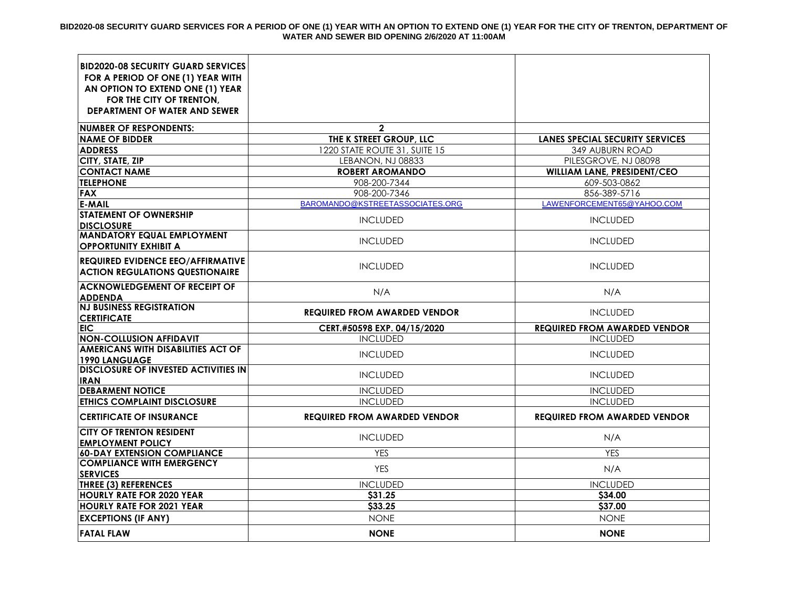| <b>BID2020-08 SECURITY GUARD SERVICES</b><br>FOR A PERIOD OF ONE (1) YEAR WITH<br>AN OPTION TO EXTEND ONE (1) YEAR |                                     |                                        |
|--------------------------------------------------------------------------------------------------------------------|-------------------------------------|----------------------------------------|
| FOR THE CITY OF TRENTON.<br><b>DEPARTMENT OF WATER AND SEWER</b>                                                   |                                     |                                        |
| <b>NUMBER OF RESPONDENTS:</b>                                                                                      | $\mathbf{2}$                        |                                        |
| <b>NAME OF BIDDER</b>                                                                                              | THE K STREET GROUP, LLC             | <b>LANES SPECIAL SECURITY SERVICES</b> |
| <b>ADDRESS</b>                                                                                                     | 1220 STATE ROUTE 31, SUITE 15       | 349 AUBURN ROAD                        |
| CITY, STATE, ZIP                                                                                                   | LEBANON, NJ 08833                   | PILESGROVE, NJ 08098                   |
| <b>CONTACT NAME</b>                                                                                                | <b>ROBERT AROMANDO</b>              | WILLIAM LANE, PRESIDENT/CEO            |
| <b>TELEPHONE</b>                                                                                                   | 908-200-7344                        | 609-503-0862                           |
| <b>FAX</b>                                                                                                         | 908-200-7346                        | 856-389-5716                           |
| <b>E-MAIL</b>                                                                                                      | BAROMANDO@KSTREETASSOCIATES.ORG     | LAWENFORCEMENT65@YAHOO.COM             |
| <b>STATEMENT OF OWNERSHIP</b><br><b>DISCLOSURE</b>                                                                 | <b>INCLUDED</b>                     | <b>INCLUDED</b>                        |
| <b>MANDATORY EQUAL EMPLOYMENT</b><br><b>OPPORTUNITY EXHIBIT A</b>                                                  | <b>INCLUDED</b>                     | <b>INCLUDED</b>                        |
| <b>REQUIRED EVIDENCE EEO/AFFIRMATIVE</b><br><b>ACTION REGULATIONS QUESTIONAIRE</b>                                 | <b>INCLUDED</b>                     | <b>INCLUDED</b>                        |
| <b>ACKNOWLEDGEMENT OF RECEIPT OF</b><br><b>ADDENDA</b>                                                             | N/A                                 | N/A                                    |
| <b>NJ BUSINESS REGISTRATION</b><br><b>CERTIFICATE</b>                                                              | <b>REQUIRED FROM AWARDED VENDOR</b> | <b>INCLUDED</b>                        |
| <b>EIC</b>                                                                                                         | CERT.#50598 EXP. 04/15/2020         | <b>REQUIRED FROM AWARDED VENDOR</b>    |
| <b>NON-COLLUSION AFFIDAVIT</b>                                                                                     | <b>INCLUDED</b>                     | <b>INCLUDED</b>                        |
| <b>AMERICANS WITH DISABILITIES ACT OF</b><br><b>1990 LANGUAGE</b>                                                  | <b>INCLUDED</b>                     | <b>INCLUDED</b>                        |
| <b>DISCLOSURE OF INVESTED ACTIVITIES IN</b><br><b>IRAN</b>                                                         | <b>INCLUDED</b>                     | <b>INCLUDED</b>                        |
| <b>DEBARMENT NOTICE</b>                                                                                            | <b>INCLUDED</b>                     | <b>INCLUDED</b>                        |
| <b>ETHICS COMPLAINT DISCLOSURE</b>                                                                                 | <b>INCLUDED</b>                     | <b>INCLUDED</b>                        |
| <b>CERTIFICATE OF INSURANCE</b>                                                                                    | <b>REQUIRED FROM AWARDED VENDOR</b> | <b>REQUIRED FROM AWARDED VENDOR</b>    |
| <b>CITY OF TRENTON RESIDENT</b><br><b>EMPLOYMENT POLICY</b>                                                        | <b>INCLUDED</b>                     | N/A                                    |
| <b>60-DAY EXTENSION COMPLIANCE</b>                                                                                 | <b>YES</b>                          | <b>YES</b>                             |
| <b>COMPLIANCE WITH EMERGENCY</b><br><b>SERVICES</b>                                                                | <b>YES</b>                          | N/A                                    |
| <b>THREE (3) REFERENCES</b>                                                                                        | <b>INCLUDED</b>                     | <b>INCLUDED</b>                        |
| <b>HOURLY RATE FOR 2020 YEAR</b>                                                                                   | \$31.25                             | \$34.00                                |
| <b>HOURLY RATE FOR 2021 YEAR</b>                                                                                   | \$33.25                             | \$37.00                                |
| <b>EXCEPTIONS (IF ANY)</b>                                                                                         | <b>NONE</b>                         | <b>NONE</b>                            |
| <b>FATAL FLAW</b>                                                                                                  | <b>NONE</b>                         | <b>NONE</b>                            |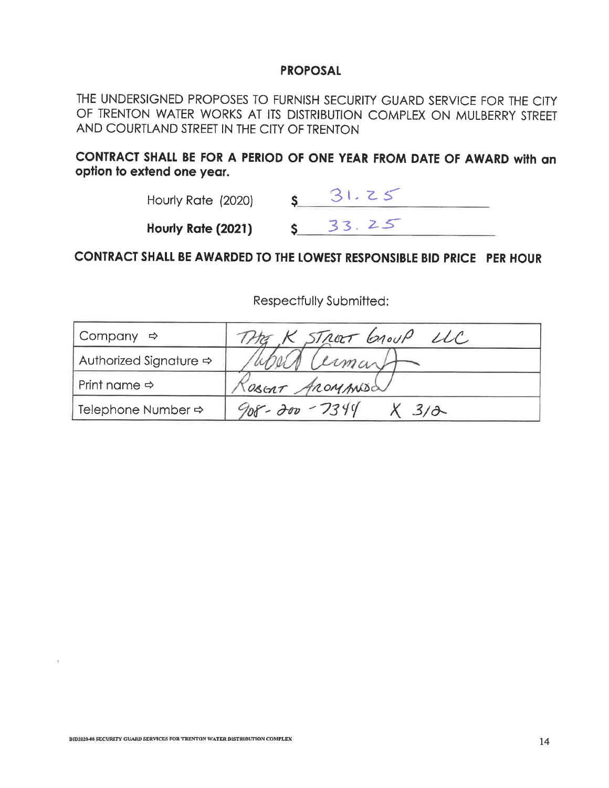## **PROPOSAL**

THE UNDERSIGNED PROPOSES TO FURNISH SECURITY GUARD SERVICE FOR THE CITY OF TRENTON WATER WORKS AT ITS DISTRIBUTION COMPLEX ON MULBERRY STREET AND COURTLAND STREET IN THE CITY OF TRENTON

CONTRACT SHALL BE FOR A PERIOD OF ONE YEAR FROM DATE OF AWARD with an option to extend one year.

| Hourly Rate (2020) |  |
|--------------------|--|
| Hourly Rate (2021) |  |

## CONTRACT SHALL BE AWARDED TO THE LOWEST RESPONSIBLE BID PRICE PER HOUR

| Company $\Rightarrow$              | K STREET GROUP LLC |
|------------------------------------|--------------------|
| Authorized Signature $\Rightarrow$ | umant              |
| Print name $\Rightarrow$           | TOBERT AROMANISO   |
| Telephone Number $\Rightarrow$     | $908 - 200 - 7344$ |

Respectfully Submitted: